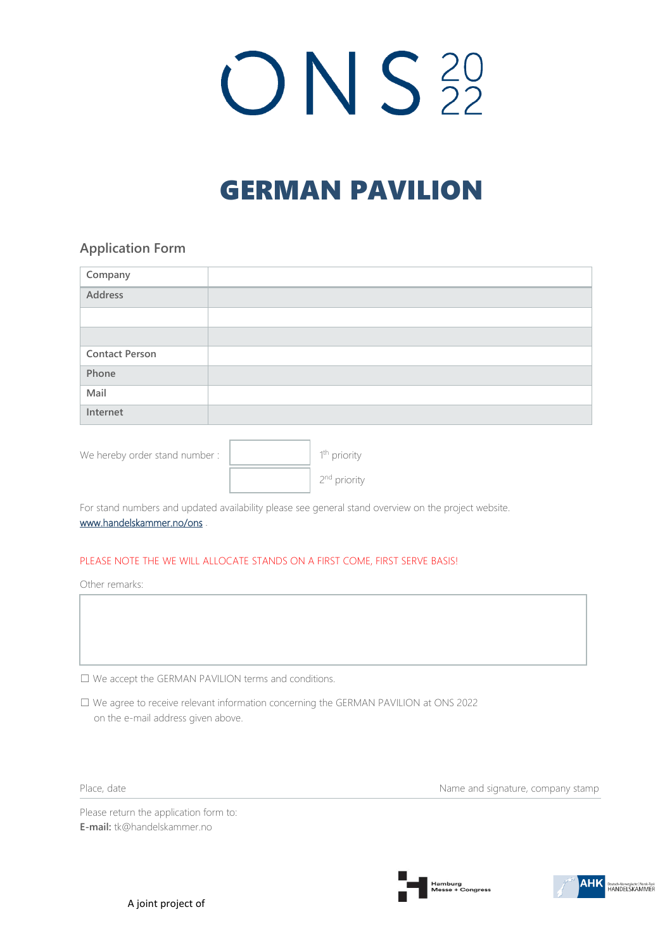# $ONS<sub>22</sub>$

# GERMAN PAVILION

# **Application Form**

| Company               |  |
|-----------------------|--|
| Address               |  |
|                       |  |
|                       |  |
| <b>Contact Person</b> |  |
| Phone                 |  |
| Mail                  |  |
| Internet              |  |

| We hereby order stand number: | 1 <sup>th</sup> priority |
|-------------------------------|--------------------------|
|                               | 2 <sup>nd</sup> priority |

For stand numbers and updated availability please see general stand overview on the project website. [www.handelskammer.no/ons](http://www.handelskammer.no/nor-shipping) .

#### PLEASE NOTE THE WE WILL ALLOCATE STANDS ON A FIRST COME, FIRST SERVE BASIS!

Other remarks:

☐ We accept the GERMAN PAVILION terms and conditions.

☐ We agree to receive relevant information concerning the GERMAN PAVILION at ONS 2022 on the e-mail address given above.

Place, date **Name and signature**, company stamp

Please return the application form to: **E-mail:** tk@handelskammer.no

A joint project of







Deutsch-Norwegische | Norsk-Tysk<br>HANDELSKAMMER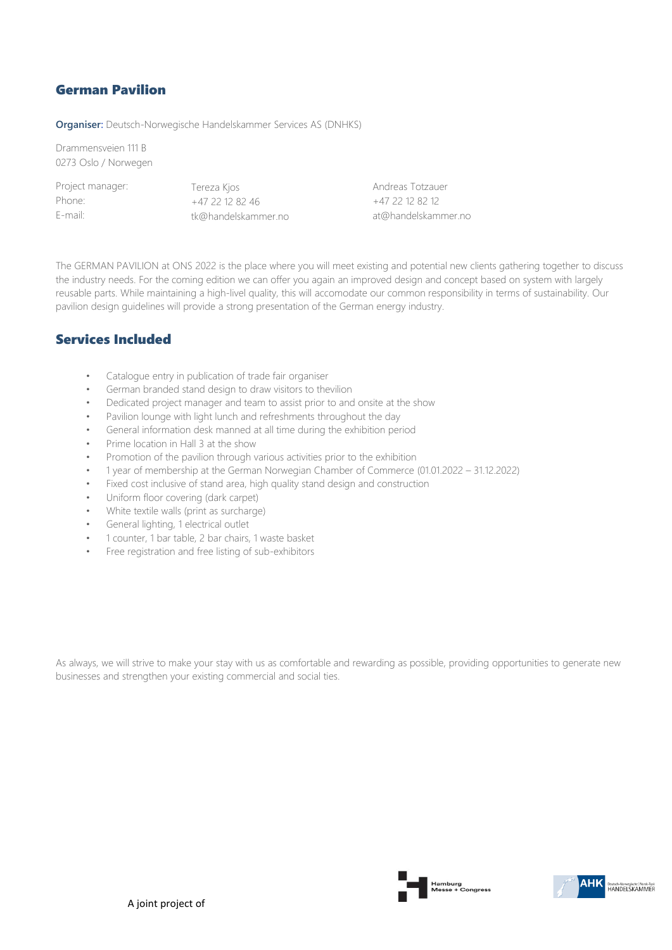# German Pavilion

**Organiser:** Deutsch-Norwegische Handelskammer Services AS (DNHKS)

Drammensveien 111 B 0273 Oslo / Norwegen

Project manager: Phone: E-mail:

Tereza Kjos +47 22 12 82 46 tk@handelskammer.no Andreas Totzauer +47 22 12 82 12 at@handelskammer.no

The GERMAN PAVILION at ONS 2022 is the place where you will meet existing and potential new clients gathering together to discuss the industry needs. For the coming edition we can offer you again an improved design and concept based on system with largely reusable parts. While maintaining a high-livel quality, this will accomodate our common responsibility in terms of sustainability. Our pavilion design guidelines will provide a strong presentation of the German energy industry.

# Services Included

- Catalogue entry in publication of trade fair organiser
- German branded stand design to draw visitors to thevilion
- Dedicated project manager and team to assist prior to and onsite at the show
- Pavilion lounge with light lunch and refreshments throughout the day
- General information desk manned at all time during the exhibition period
- Prime location in Hall 3 at the show
- Promotion of the pavilion through various activities prior to the exhibition
- 1 year of membership at the German Norwegian Chamber of Commerce (01.01.2022 31.12.2022)
- Fixed cost inclusive of stand area, high quality stand design and construction
- Uniform floor covering (dark carpet)
- White textile walls (print as surcharge)
- General lighting, 1 electrical outlet
- 1 counter, 1 bar table, 2 bar chairs, 1 waste basket
- Free registration and free listing of sub-exhibitors

As always, we will strive to make your stay with us as comfortable and rewarding as possible, providing opportunities to generate new businesses and strengthen your existing commercial and social ties.